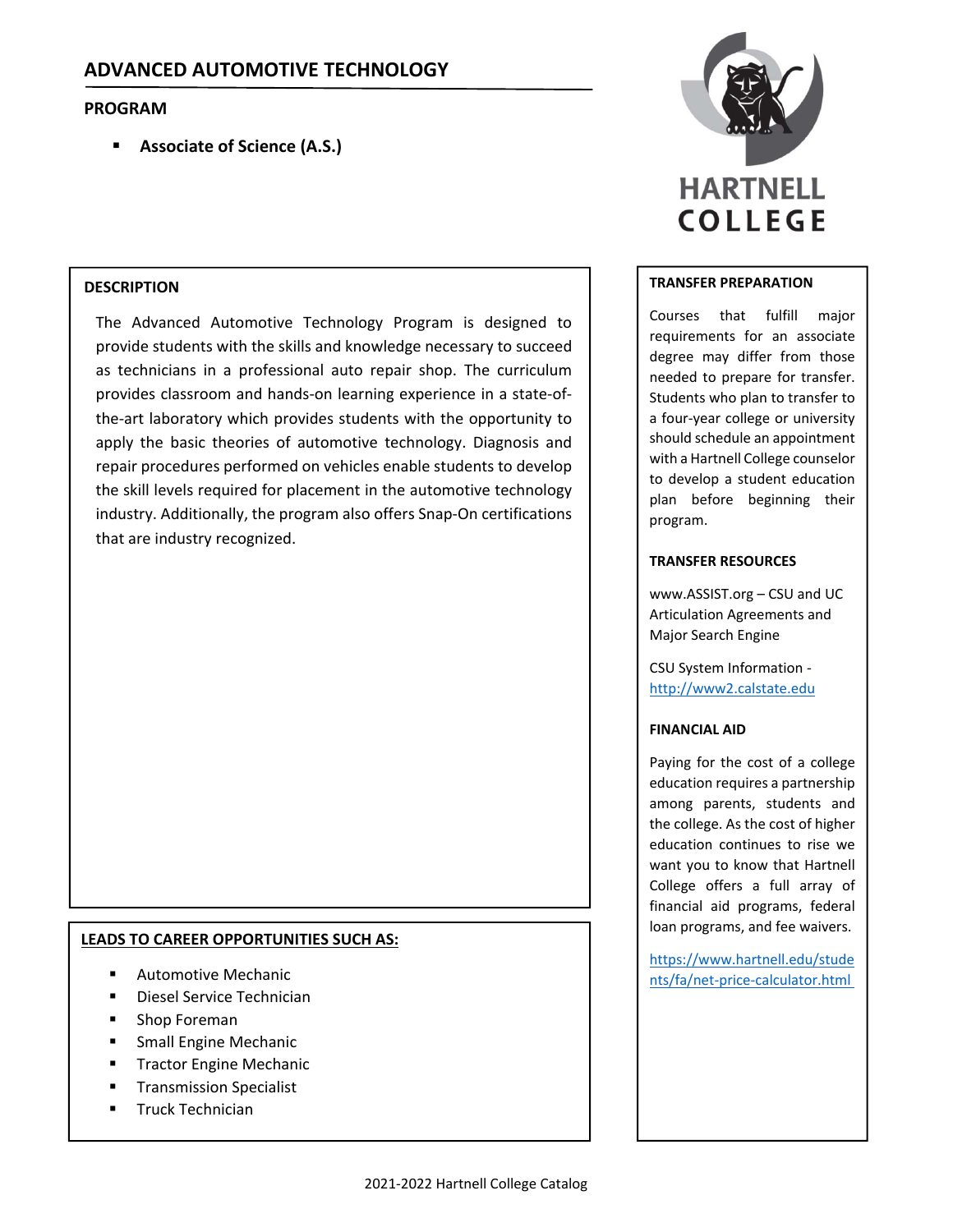# **PROGRAM**

**Associate of Science (A.S.)**

# **DESCRIPTION**

The Advanced Automotive Technology Program is designed to provide students with the skills and knowledge necessary to succeed as technicians in a professional auto repair shop. The curriculum provides classroom and hands‐on learning experience in a state‐of‐ the‐art laboratory which provides students with the opportunity to apply the basic theories of automotive technology. Diagnosis and repair procedures performed on vehicles enable students to develop the skill levels required for placement in the automotive technology industry. Additionally, the program also offers Snap‐On certifications that are industry recognized.

# **LEADS TO CAREER OPPORTUNITIES SUCH AS:**

- Automotive Mechanic
- Diesel Service Technician
- Shop Foreman
- Small Engine Mechanic
- Tractor Engine Mechanic
- Transmission Specialist
- **Truck Technician**



#### **TRANSFER PREPARATION**

Courses that fulfill major requirements for an associate degree may differ from those needed to prepare for transfer. Students who plan to transfer to a four‐year college or university should schedule an appointment with a Hartnell College counselor to develop a student education plan before beginning their program.

### **TRANSFER RESOURCES**

www.ASSIST.org – CSU and UC Articulation Agreements and Major Search Engine

CSU System Information ‐ http://www2.calstate.edu

### **FINANCIAL AID**

Paying for the cost of a college education requires a partnership among parents, students and the college. As the cost of higher education continues to rise we want you to know that Hartnell College offers a full array of financial aid programs, federal loan programs, and fee waivers.

https://www.hartnell.edu/stude nts/fa/net‐price‐calculator.html